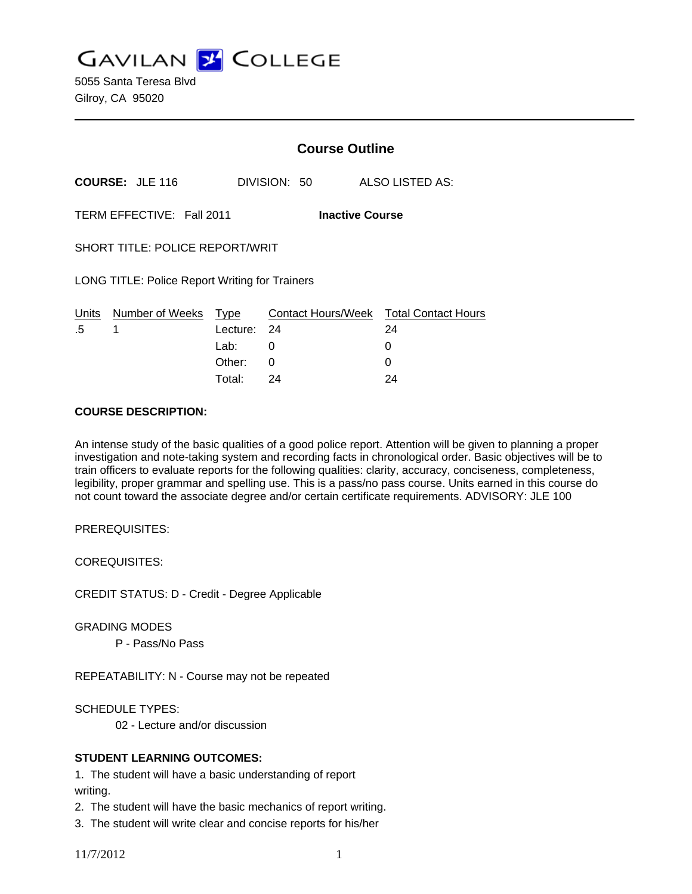**GAVILAN Z COLLEGE** 

5055 Santa Teresa Blvd Gilroy, CA 95020

|                                                       |                        | <b>Course Outline</b> |              |                                        |  |
|-------------------------------------------------------|------------------------|-----------------------|--------------|----------------------------------------|--|
|                                                       | <b>COURSE: JLE 116</b> |                       | DIVISION: 50 | ALSO LISTED AS:                        |  |
| TERM EFFECTIVE: Fall 2011<br><b>Inactive Course</b>   |                        |                       |              |                                        |  |
| <b>SHORT TITLE: POLICE REPORT/WRIT</b>                |                        |                       |              |                                        |  |
| <b>LONG TITLE: Police Report Writing for Trainers</b> |                        |                       |              |                                        |  |
| Units                                                 | Number of Weeks        | Type                  |              | Contact Hours/Week Total Contact Hours |  |
| .5                                                    | 1                      | Lecture:              | - 24         | 24                                     |  |
|                                                       |                        | Lab: __               | 0            | 0                                      |  |
|                                                       |                        | Other:                | 0            | Ü                                      |  |

#### **COURSE DESCRIPTION:**

An intense study of the basic qualities of a good police report. Attention will be given to planning a proper investigation and note-taking system and recording facts in chronological order. Basic objectives will be to train officers to evaluate reports for the following qualities: clarity, accuracy, conciseness, completeness, legibility, proper grammar and spelling use. This is a pass/no pass course. Units earned in this course do not count toward the associate degree and/or certain certificate requirements. ADVISORY: JLE 100

Total: 24 24

PREREQUISITES:

COREQUISITES:

CREDIT STATUS: D - Credit - Degree Applicable

GRADING MODES

P - Pass/No Pass

REPEATABILITY: N - Course may not be repeated

SCHEDULE TYPES:

02 - Lecture and/or discussion

### **STUDENT LEARNING OUTCOMES:**

1. The student will have a basic understanding of report writing.

2. The student will have the basic mechanics of report writing.

3. The student will write clear and concise reports for his/her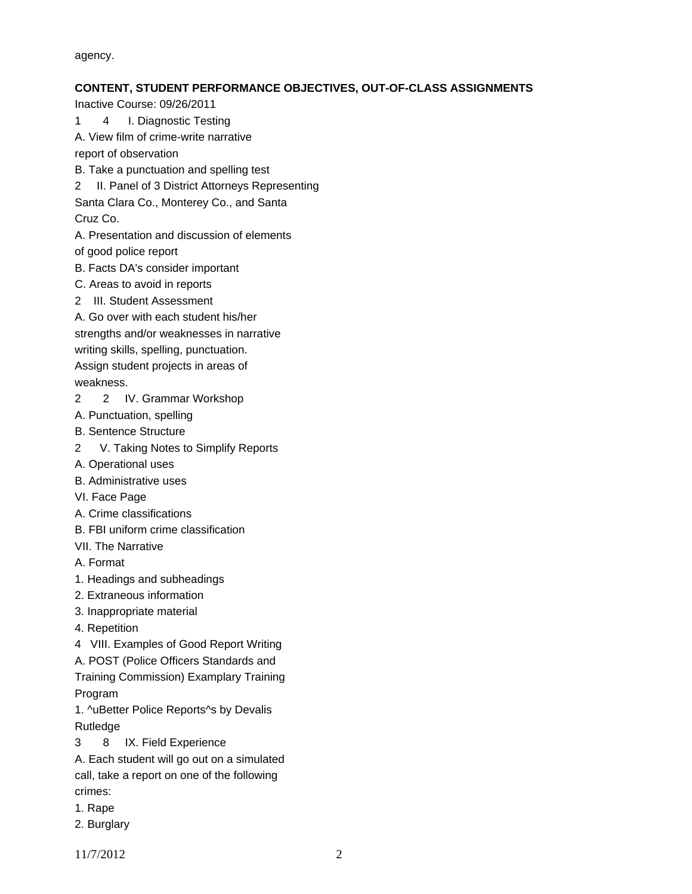agency.

### **CONTENT, STUDENT PERFORMANCE OBJECTIVES, OUT-OF-CLASS ASSIGNMENTS**

Inactive Course: 09/26/2011

- 1 4 I. Diagnostic Testing
- A. View film of crime-write narrative

report of observation

- B. Take a punctuation and spelling test
- 2 II. Panel of 3 District Attorneys Representing

Santa Clara Co., Monterey Co., and Santa Cruz Co.

A. Presentation and discussion of elements

of good police report

- B. Facts DA's consider important
- C. Areas to avoid in reports
- 2 III. Student Assessment
- A. Go over with each student his/her

strengths and/or weaknesses in narrative

writing skills, spelling, punctuation.

Assign student projects in areas of weakness.

2 2 IV. Grammar Workshop

- A. Punctuation, spelling
- B. Sentence Structure
- 2 V. Taking Notes to Simplify Reports
- A. Operational uses
- B. Administrative uses
- VI. Face Page
- A. Crime classifications
- B. FBI uniform crime classification
- VII. The Narrative
- A. Format
- 1. Headings and subheadings
- 2. Extraneous information
- 3. Inappropriate material
- 4. Repetition
- 4 VIII. Examples of Good Report Writing
- A. POST (Police Officers Standards and

Training Commission) Examplary Training Program

1. ^uBetter Police Reports^s by Devalis Rutledge

- 3 8 IX. Field Experience
- A. Each student will go out on a simulated call, take a report on one of the following crimes:
- 1. Rape
- 2. Burglary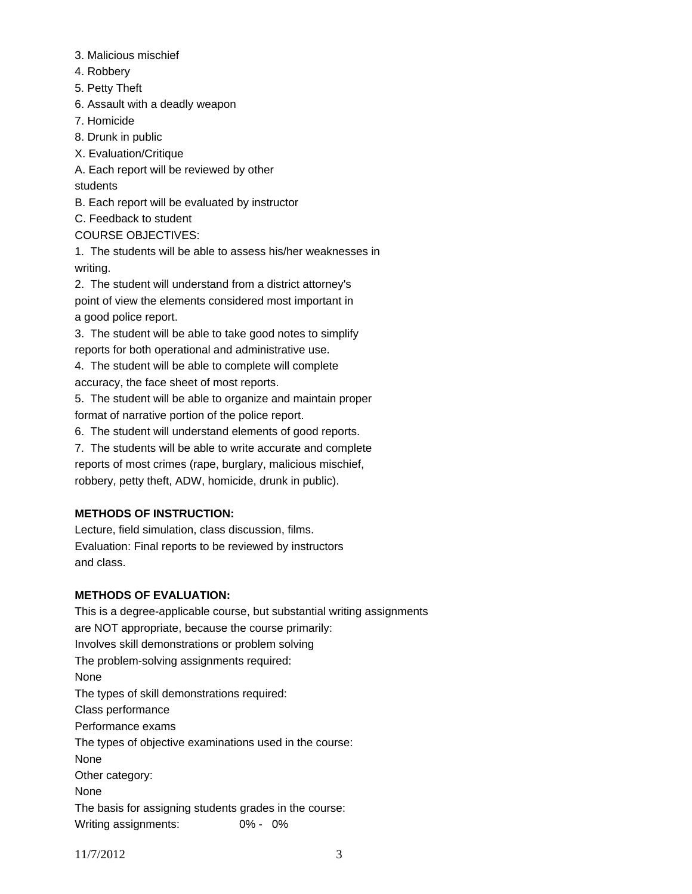- 3. Malicious mischief
- 4. Robbery
- 5. Petty Theft
- 6. Assault with a deadly weapon
- 7. Homicide
- 8. Drunk in public
- X. Evaluation/Critique
- A. Each report will be reviewed by other

students

B. Each report will be evaluated by instructor

C. Feedback to student

COURSE OBJECTIVES:

1. The students will be able to assess his/her weaknesses in writing.

2. The student will understand from a district attorney's point of view the elements considered most important in a good police report.

3. The student will be able to take good notes to simplify reports for both operational and administrative use.

4. The student will be able to complete will complete accuracy, the face sheet of most reports.

5. The student will be able to organize and maintain proper format of narrative portion of the police report.

6. The student will understand elements of good reports.

7. The students will be able to write accurate and complete reports of most crimes (rape, burglary, malicious mischief, robbery, petty theft, ADW, homicide, drunk in public).

# **METHODS OF INSTRUCTION:**

Lecture, field simulation, class discussion, films. Evaluation: Final reports to be reviewed by instructors and class.

# **METHODS OF EVALUATION:**

This is a degree-applicable course, but substantial writing assignments are NOT appropriate, because the course primarily: Involves skill demonstrations or problem solving The problem-solving assignments required: None The types of skill demonstrations required: Class performance Performance exams The types of objective examinations used in the course: None Other category: None The basis for assigning students grades in the course: Writing assignments: 0% - 0%